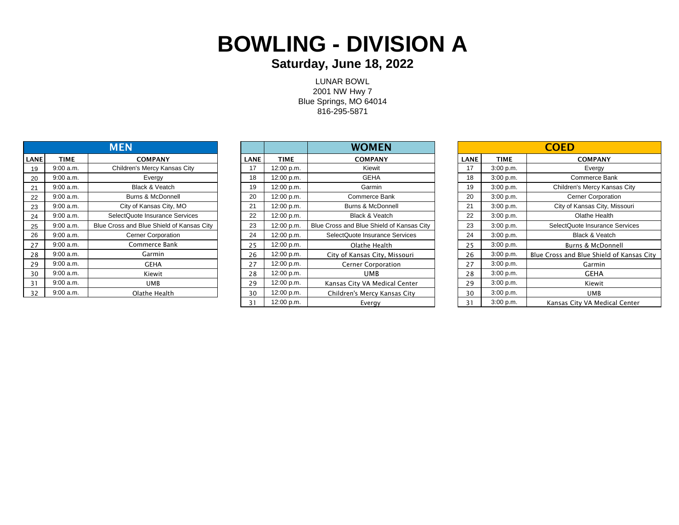# **BOWLING - DIVISION A**

#### **Saturday, June 18, 2022**

LUNAR BOWL 2001 NW Hwy 7 Blue Springs, MO 64014 816-295-5871

|      |             | <b>MEN</b>                                |
|------|-------------|-------------------------------------------|
| LANE | <b>TIME</b> | <b>COMPANY</b>                            |
| 19   | 9:00 a.m.   | Children's Mercy Kansas City              |
| 20   | 9:00a.m.    | Evergy                                    |
| 21   | 9:00 a.m.   | <b>Black &amp; Veatch</b>                 |
| 22   | 9:00a.m.    | Burns & McDonnell                         |
| 23   | 9:00a.m.    | City of Kansas City, MO                   |
| 24   | 9:00a.m.    | SelectQuote Insurance Services            |
| 25   | 9:00a.m.    | Blue Cross and Blue Shield of Kansas City |
| 26   | 9:00a.m.    | <b>Cerner Corporation</b>                 |
| 27   | 9:00 a.m.   | Commerce Bank                             |
| 28   | 9:00 a.m.   | Garmin                                    |
| 29   | 9:00 a.m.   | GEHA                                      |
| 30   | 9:00 a.m.   | Kiewit                                    |
| 31   | 9:00a.m.    | UMB                                       |
| 32   | 9:00a.m.    | Olathe Health                             |

|      |             | <b>MEN</b>                                |             |             | <b>WOMEN</b>                              |             |             | <b>COED</b>                          |
|------|-------------|-------------------------------------------|-------------|-------------|-------------------------------------------|-------------|-------------|--------------------------------------|
| LANE | <b>TIME</b> | <b>COMPANY</b>                            | <b>LANE</b> | <b>TIME</b> | <b>COMPANY</b>                            | <b>LANE</b> | <b>TIME</b> | <b>COMPANY</b>                       |
| 19   | 9:00 a.m.   | Children's Mercy Kansas City              | 17          | 12:00 p.m.  | Kiewit                                    | 17          | 3:00 p.m.   | Evergy                               |
| 20   | 9:00 a.m.   | Evergy                                    | 18          | 12:00 p.m.  | <b>GEHA</b>                               | 18          | 3:00 p.m.   | Commerce Bank                        |
| 21   | 9:00 a.m.   | Black & Veatch                            | 19          | 12:00 p.m.  | Garmin                                    | 19          | 3:00 p.m.   | Children's Mercy Kansas City         |
| 22   | 9:00 a.m.   | Burns & McDonnell                         | 20          | 12:00 p.m.  | Commerce Bank                             | 20          | 3:00 p.m.   | <b>Cerner Corporation</b>            |
| 23   | 9:00 a.m.   | City of Kansas City, MO                   | 21          | 12:00 p.m.  | <b>Burns &amp; McDonnell</b>              | 21          | 3:00 p.m.   | City of Kansas City, Missouri        |
| 24   | 9:00 a.m.   | SelectQuote Insurance Services            | 22          | 12:00 p.m.  | Black & Veatch                            | 22          | 3:00 p.m.   | Olathe Health                        |
| 25   | 9:00 a.m.   | Blue Cross and Blue Shield of Kansas City | 23          | 12:00 p.m.  | Blue Cross and Blue Shield of Kansas City | 23          | 3:00 p.m.   | SelectQuote Insurance Services       |
| 26   | 9:00 a.m.   | <b>Cerner Corporation</b>                 | 24          | 12:00 p.m.  | SelectQuote Insurance Services            | 24          | 3:00 p.m.   | Black & Veatch                       |
| 27   | 9:00 a.m.   | Commerce Bank                             | 25          | 12:00 p.m.  | Olathe Health                             | 25          | 3:00 p.m.   | Burns & McDonnell                    |
| 28   | 9:00 a.m.   | Garmin                                    | 26          | 12:00 p.m.  | City of Kansas City, Missouri             | 26          | 3:00 p.m.   | Blue Cross and Blue Shield of Kansas |
| 29   | 9:00 a.m.   | <b>GEHA</b>                               | 27          | 12:00 p.m.  | <b>Cerner Corporation</b>                 | 27          | 3:00 p.m.   | Garmin                               |
| 30   | 9:00 a.m.   | Kiewit                                    | 28          | 12:00 p.m.  | UMB                                       | 28          | 3:00 p.m.   | <b>GEHA</b>                          |
| 31   | 9:00 a.m.   | UMB                                       | 29          | 12:00 p.m.  | Kansas City VA Medical Center             | 29          | 3:00 p.m.   | Kiewit                               |
| 32   | 9:00 a.m.   | Olathe Health                             | 30          | 12:00 p.m.  | Children's Mercy Kansas City              | 30          | 3:00 p.m.   | <b>UMB</b>                           |
|      |             |                                           | 31          | 12:00 p.m.  | Evergy                                    | 31          | 3:00 p.m.   | Kansas City VA Medical Center        |
|      |             |                                           |             |             |                                           |             |             |                                      |

|      |           | <b>MEN</b>                                |             |            | <b>WOMEN</b>                              |      |           | <b>COED</b>                               |
|------|-----------|-------------------------------------------|-------------|------------|-------------------------------------------|------|-----------|-------------------------------------------|
| ANEI | TIME      | <b>COMPANY</b>                            | <b>LANE</b> | TIME       | <b>COMPANY</b>                            | LANE | TIME      | <b>COMPANY</b>                            |
| 19   | 9:00 a.m. | Children's Mercy Kansas City              | 17          | 12:00 p.m. | Kiewit                                    | 17   | 3:00 p.m. | Evergy                                    |
| 20   | 9:00 a.m. | Evergy                                    | 18          | 12:00 p.m. | <b>GEHA</b>                               | 18   | 3:00 p.m. | Commerce Bank                             |
| 21   | 9:00 a.m. | Black & Veatch                            | 19          | 12:00 p.m. | Garmin                                    | 19   | 3:00 p.m. | Children's Mercy Kansas City              |
| 22   | 9:00 a.m. | <b>Burns &amp; McDonnell</b>              | 20          | 12:00 p.m. | Commerce Bank                             | 20   | 3:00 p.m. | <b>Cerner Corporation</b>                 |
| 23   | 9:00 a.m. | City of Kansas City, MO                   | 21          | 12:00 p.m. | <b>Burns &amp; McDonnell</b>              | 21   | 3:00 p.m. | City of Kansas City, Missouri             |
| 24   | 9:00 a.m. | SelectQuote Insurance Services            | 22          | 12:00 p.m. | <b>Black &amp; Veatch</b>                 | 22   | 3:00 p.m. | Olathe Health                             |
| 25   | 9:00 a.m. | Blue Cross and Blue Shield of Kansas City | 23          | 12:00 p.m. | Blue Cross and Blue Shield of Kansas City | 23   | 3:00 p.m. | SelectQuote Insurance Services            |
| 26   | 9:00 a.m. | <b>Cerner Corporation</b>                 | 24          | 12:00 p.m. | SelectQuote Insurance Services            | 24   | 3:00 p.m. | <b>Black &amp; Veatch</b>                 |
| 27   | 9:00 a.m. | Commerce Bank                             | 25          | 12:00 p.m. | Olathe Health                             | 25   | 3:00 p.m. | <b>Burns &amp; McDonnell</b>              |
| 28   | 9:00 a.m. | Garmin                                    | 26          | 12:00 p.m. | City of Kansas City, Missouri             | 26   | 3:00 p.m. | Blue Cross and Blue Shield of Kansas City |
| 29   | 9:00 a.m. | <b>GEHA</b>                               | 27          | 12:00 p.m. | <b>Cerner Corporation</b>                 | 27   | 3:00 p.m. | Garmin                                    |
| 30   | 9:00 a.m. | Kiewit                                    | 28          | 12:00 p.m. | <b>UMB</b>                                | 28   | 3:00 p.m. | <b>GEHA</b>                               |
| 31   | 9:00 a.m. | <b>UMB</b>                                | 29          | 12:00 p.m. | Kansas City VA Medical Center             | 29   | 3:00 p.m. | Kiewit                                    |
| 32   | 9:00 a.m. | Olathe Health                             | 30          | 12:00 p.m. | Children's Mercy Kansas City              | 30   | 3:00 p.m. | <b>UMB</b>                                |
|      |           |                                           | 31          | 12:00 p.m. | Evergy                                    | 31   | 3:00 p.m. | Kansas City VA Medical Center             |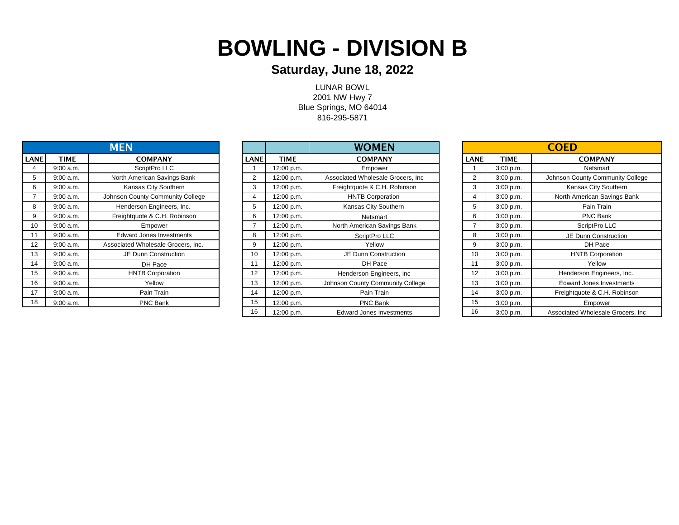## **BOWLING - DIVISION B**

### **Saturday, June 18, 2022**

LUNAR BOWL 2001 NW Hwy 7 Blue Springs, MO 64014 816-295-5871

| <b>MEN</b>  |             |                                    |  |  |  |  |  |  |
|-------------|-------------|------------------------------------|--|--|--|--|--|--|
| <b>LANE</b> | <b>TIME</b> | <b>COMPANY</b>                     |  |  |  |  |  |  |
| 4           | 9:00 a.m.   | ScriptPro LLC                      |  |  |  |  |  |  |
| 5           | 9:00 a.m.   | North American Savings Bank        |  |  |  |  |  |  |
| 6           | 9:00 a.m.   | Kansas City Southern               |  |  |  |  |  |  |
| 7           | 9:00 a.m.   | Johnson County Community College   |  |  |  |  |  |  |
| 8           | 9:00 a.m.   | Henderson Engineers, Inc.          |  |  |  |  |  |  |
| 9           | 9:00 a.m.   | Freightquote & C.H. Robinson       |  |  |  |  |  |  |
| 10          | 9:00a.m.    | Empower                            |  |  |  |  |  |  |
| 11          | 9:00 a.m.   | Edward Jones Investments           |  |  |  |  |  |  |
| 12          | 9:00a.m.    | Associated Wholesale Grocers, Inc. |  |  |  |  |  |  |
| 13          | 9:00a.m.    | <b>JE Dunn Construction</b>        |  |  |  |  |  |  |
| 14          | 9:00 a.m.   | DH Pace                            |  |  |  |  |  |  |
| 15          | 9:00 a.m.   | <b>HNTB Corporation</b>            |  |  |  |  |  |  |
| 16          | 9:00 a.m.   | Yellow                             |  |  |  |  |  |  |
| 17          | 9:00 a.m.   | Pain Train                         |  |  |  |  |  |  |
| 18          | 9:00 a.m.   | <b>PNC Bank</b>                    |  |  |  |  |  |  |

|             |             | <b>MEN</b>                         |                |             | <b>WOMEN</b>                       |             |             | <b>COED</b>                        |
|-------------|-------------|------------------------------------|----------------|-------------|------------------------------------|-------------|-------------|------------------------------------|
| <b>LANE</b> | <b>TIME</b> | <b>COMPANY</b>                     | <b>LANE</b>    | <b>TIME</b> | <b>COMPANY</b>                     | <b>LANE</b> | <b>TIME</b> | <b>COMPANY</b>                     |
|             | 9:00 a.m.   | ScriptPro LLC                      |                | 12:00 p.m.  | Empower                            |             | 3:00 p.m.   | Netsmart                           |
| 5           | 9:00 a.m.   | North American Savings Bank        | $\overline{2}$ | 12:00 p.m.  | Associated Wholesale Grocers, Inc. | 2           | 3:00 p.m.   | Johnson County Community College   |
| 6           | 9:00 a.m.   | Kansas City Southern               | 3              | 12:00 p.m.  | Freightquote & C.H. Robinson       | 3           | 3:00 p.m.   | Kansas City Southern               |
|             | 9:00 a.m.   | Johnson County Community College   | -4             | 12:00 p.m.  | <b>HNTB Corporation</b>            | 4           | 3:00 p.m.   | North American Savings Bank        |
| 8           | 9:00 a.m.   | Henderson Engineers, Inc.          | 5              | 12:00 p.m.  | Kansas City Southern               | 5           | 3:00 p.m.   | Pain Train                         |
| 9           | 9:00 a.m.   | Freightquote & C.H. Robinson       | 6              | 12:00 p.m.  | Netsmart                           | 6           | 3:00 p.m.   | PNC Bank                           |
| 10          | 9:00 a.m.   | Empower                            |                | 12:00 p.m.  | North American Savings Bank        |             | 3:00 p.m.   | ScriptPro LLC                      |
| 11          | 9:00 a.m.   | <b>Edward Jones Investments</b>    | 8              | 12:00 p.m.  | ScriptPro LLC                      | 8           | 3:00 p.m.   | JE Dunn Construction               |
| 12          | 9:00 a.m.   | Associated Wholesale Grocers, Inc. | 9              | 12:00 p.m.  | Yellow                             | 9           | 3:00 p.m.   | DH Pace                            |
| 13          | 9:00 a.m.   | JE Dunn Construction               | 10             | 12:00 p.m.  | JE Dunn Construction               | 10          | 3:00 p.m.   | <b>HNTB Corporation</b>            |
| 14          | 9:00 a.m.   | DH Pace                            |                | 12:00 p.m.  | DH Pace                            | 11          | 3:00 p.m.   | Yellow                             |
| 15          | 9:00 a.m.   | <b>HNTB Corporation</b>            | 12             | 12:00 p.m.  | Henderson Engineers, Inc.          | 12          | 3:00 p.m.   | Henderson Engineers, Inc.          |
| 16          | 9:00 a.m.   | Yellow                             | 13             | 12:00 p.m.  | Johnson County Community College   | 13          | 3:00 p.m.   | <b>Edward Jones Investments</b>    |
| 17          | 9:00 a.m.   | Pain Train                         | 14             | 12:00 p.m.  | Pain Train                         | 14          | 3:00 p.m.   | Freightquote & C.H. Robinson       |
| 18          | 9:00 a.m.   | <b>PNC Bank</b>                    | 15             | 12:00 p.m.  | <b>PNC Bank</b>                    | 15          | 3:00 p.m.   | Empower                            |
|             |             |                                    | 16             | 12:00 p.m.  | <b>Edward Jones Investments</b>    | 16          | 3:00 p.m.   | Associated Wholesale Grocers, Inc. |

| <b>COED</b>    |             |                                    |  |  |  |  |  |  |
|----------------|-------------|------------------------------------|--|--|--|--|--|--|
| LANE           | <b>TIME</b> | <b>COMPANY</b>                     |  |  |  |  |  |  |
| 1              | 3:00 p.m.   | Netsmart                           |  |  |  |  |  |  |
| $\overline{2}$ | 3:00 p.m.   | Johnson County Community College   |  |  |  |  |  |  |
| 3              | 3:00 p.m.   | Kansas City Southern               |  |  |  |  |  |  |
| 4              | 3:00 p.m.   | North American Savings Bank        |  |  |  |  |  |  |
| 5              | 3:00 p.m.   | Pain Train                         |  |  |  |  |  |  |
| 6              | 3:00 p.m.   | <b>PNC Bank</b>                    |  |  |  |  |  |  |
| 7              | 3:00 p.m.   | ScriptPro LLC                      |  |  |  |  |  |  |
| 8              | 3:00 p.m.   | <b>JE Dunn Construction</b>        |  |  |  |  |  |  |
| 9              | 3:00 p.m.   | DH Pace                            |  |  |  |  |  |  |
| 10             | 3:00 p.m.   | <b>HNTB Corporation</b>            |  |  |  |  |  |  |
| 11             | 3:00 p.m.   | Yellow                             |  |  |  |  |  |  |
| 12             | 3:00 p.m.   | Henderson Engineers, Inc.          |  |  |  |  |  |  |
| 13             | 3:00 p.m.   | Edward Jones Investments           |  |  |  |  |  |  |
| 14             | 3:00 p.m.   | Freightquote & C.H. Robinson       |  |  |  |  |  |  |
| 15             | 3:00 p.m.   | Empower                            |  |  |  |  |  |  |
| 16             | 3:00 p.m.   | Associated Wholesale Grocers, Inc. |  |  |  |  |  |  |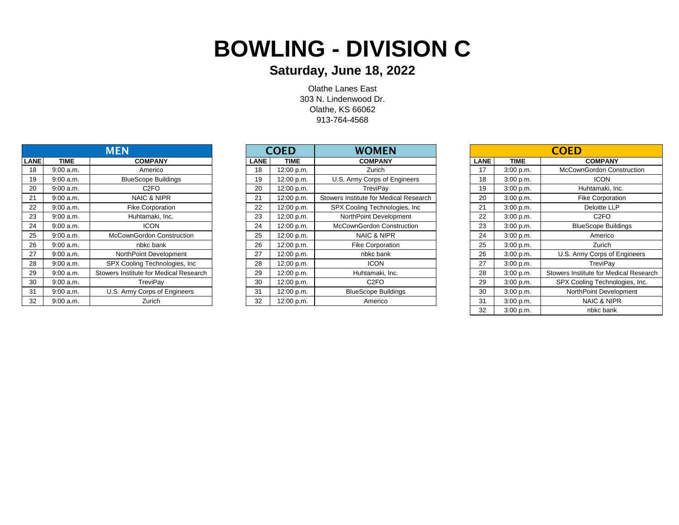## **BOWLING - DIVISION C**

### **Saturday, June 18, 2022**

913-764-4568 Olathe Lanes East 303 N. Lindenwood Dr. Olathe, KS 66062

|             |             | <b>MEN</b>                             |
|-------------|-------------|----------------------------------------|
| <b>LANE</b> | <b>TIME</b> | <b>COMPANY</b>                         |
| 18          | 9:00a.m.    | Americo                                |
| 19          | 9:00 a.m.   | <b>BlueScope Buildings</b>             |
| 20          | 9:00 a.m.   | C <sub>2</sub> FO                      |
| 21          | 9:00 a.m.   | NAIC & NIPR                            |
| 22          | 9:00 a.m.   | <b>Fike Corporation</b>                |
| 23          | 9:00 a.m.   | Huhtamaki, Inc.                        |
| 24          | 9:00a.m.    | <b>ICON</b>                            |
| 25          | 9:00a.m.    | <b>McCownGordon Construction</b>       |
| 26          | 9:00a.m.    | nbkc bank                              |
| 27          | 9:00 a.m.   | NorthPoint Development                 |
| 28          | 9:00 a.m.   | SPX Cooling Technologies, Inc.         |
| 29          | 9:00 a.m.   | Stowers Institute for Medical Research |
| 30          | 9:00 a.m.   | TreviPay                               |
| 31          | 9:00 a.m.   | U.S. Army Corps of Engineers           |
| 32          | 9:00 a.m.   | Zurich                                 |

|       | <b>MEN</b>  |                                        |  |             | COED        | <b>WOMEN</b>                           |             |             | <b>COED</b>                            |
|-------|-------------|----------------------------------------|--|-------------|-------------|----------------------------------------|-------------|-------------|----------------------------------------|
| LANEI | <b>TIME</b> | <b>COMPANY</b>                         |  | <b>LANE</b> | <b>TIME</b> | <b>COMPANY</b>                         | <b>LANE</b> | <b>TIME</b> | <b>COMPANY</b>                         |
| 18    | 9:00 a.m.   | Americo                                |  | 18          | 12:00 p.m.  | Zurich                                 | 17          | 3:00 p.m.   | <b>McCownGordon Construction</b>       |
| 19    | 9:00 a.m.   | <b>BlueScope Buildings</b>             |  | 19          | 12:00 p.m.  | U.S. Army Corps of Engineers           | 18          | 3:00 p.m.   | <b>ICON</b>                            |
| 20    | 9:00 a.m.   | C <sub>2FO</sub>                       |  | 20          | 12:00 p.m.  | TreviPay                               | 19          | 3:00 p.m.   | Huhtamaki, Inc.                        |
| 21    | 9:00 a.m.   | NAIC & NIPR                            |  | 21          | 12:00 p.m.  | Stowers Institute for Medical Research | 20          | 3:00 p.m.   | <b>Fike Corporation</b>                |
| 22    | 9:00 a.m.   | <b>Fike Corporation</b>                |  | 22          | 12:00 p.m.  | SPX Cooling Technologies, Inc.         | 21          | 3:00 p.m.   | Deloitte LLP                           |
| 23    | 9:00 a.m.   | Huhtamaki, Inc.                        |  | 23          | 12:00 p.m.  | NorthPoint Development                 | 22          | 3:00 p.m.   | C <sub>2</sub> FO                      |
| 24    | 9:00 a.m.   | <b>ICON</b>                            |  | 24          | 12:00 p.m.  | McCownGordon Construction              | 23          | 3:00 p.m.   | <b>BlueScope Buildings</b>             |
| 25    | 9:00 a.m.   | McCownGordon Construction              |  | 25          | 12:00 p.m.  | NAIC & NIPR                            | 24          | 3:00 p.m.   | Americo                                |
| 26    | 9:00 a.m.   | nbkc bank                              |  | 26          | 12:00 p.m.  | <b>Fike Corporation</b>                | 25          | 3:00 p.m.   | Zurich                                 |
| 27    | 9:00 a.m.   | NorthPoint Development                 |  | 27          | 12:00 p.m.  | nbkc bank                              | 26          | 3:00 p.m.   | U.S. Army Corps of Engineers           |
| 28    | 9:00 a.m.   | SPX Cooling Technologies, Inc.         |  | 28          | 12:00 p.m.  | <b>ICON</b>                            | 27          | 3:00 p.m.   | TreviPay                               |
| 29    | 9:00 a.m.   | Stowers Institute for Medical Research |  | 29          | 12:00 p.m.  | Huhtamaki, Inc.                        | 28          | 3:00 p.m.   | Stowers Institute for Medical Research |
| 30    | 9:00 a.m.   | TreviPay                               |  | 30          | 12:00 p.m.  | C <sub>2FO</sub>                       | 29          | 3:00 p.m.   | SPX Cooling Technologies, Inc.         |
| 31    | 9:00 a.m.   | U.S. Army Corps of Engineers           |  | 31          | 12:00 p.m.  | <b>BlueScope Buildings</b>             | 30          | 3:00 p.m.   | NorthPoint Development                 |
| 32    | 9:00 a.m.   | Zurich                                 |  | 32          | 12:00 p.m.  | Americo                                | 31          | 3:00 p.m.   | <b>NAIC &amp; NIPR</b>                 |

|             | <b>COED</b> |                                        |  |  |  |  |  |  |  |  |
|-------------|-------------|----------------------------------------|--|--|--|--|--|--|--|--|
| <b>LANE</b> | <b>TIME</b> | <b>COMPANY</b>                         |  |  |  |  |  |  |  |  |
| 17          | 3:00 p.m.   | <b>McCownGordon Construction</b>       |  |  |  |  |  |  |  |  |
| 18          | 3:00 p.m.   | <b>ICON</b>                            |  |  |  |  |  |  |  |  |
| 19          | 3:00 p.m.   | Huhtamaki, Inc.                        |  |  |  |  |  |  |  |  |
| 20          | 3:00 p.m.   | <b>Fike Corporation</b>                |  |  |  |  |  |  |  |  |
| 21          | 3:00 p.m.   | <b>Deloitte LLP</b>                    |  |  |  |  |  |  |  |  |
| 22          | 3:00 p.m.   | C <sub>2</sub> FO                      |  |  |  |  |  |  |  |  |
| 23          | 3:00 p.m.   | <b>BlueScope Buildings</b>             |  |  |  |  |  |  |  |  |
| 24          | 3:00 p.m.   | Americo                                |  |  |  |  |  |  |  |  |
| 25          | 3:00 p.m.   | Zurich                                 |  |  |  |  |  |  |  |  |
| 26          | 3:00 p.m.   | U.S. Army Corps of Engineers           |  |  |  |  |  |  |  |  |
| 27          | 3:00 p.m.   | TreviPay                               |  |  |  |  |  |  |  |  |
| 28          | 3:00 p.m.   | Stowers Institute for Medical Research |  |  |  |  |  |  |  |  |
| 29          | 3:00 p.m.   | SPX Cooling Technologies, Inc.         |  |  |  |  |  |  |  |  |
| 30          | 3:00 p.m.   | NorthPoint Development                 |  |  |  |  |  |  |  |  |
| 31          | 3:00 p.m.   | <b>NAIC &amp; NIPR</b>                 |  |  |  |  |  |  |  |  |
| 32          | 3:00 p.m.   | nbkc bank                              |  |  |  |  |  |  |  |  |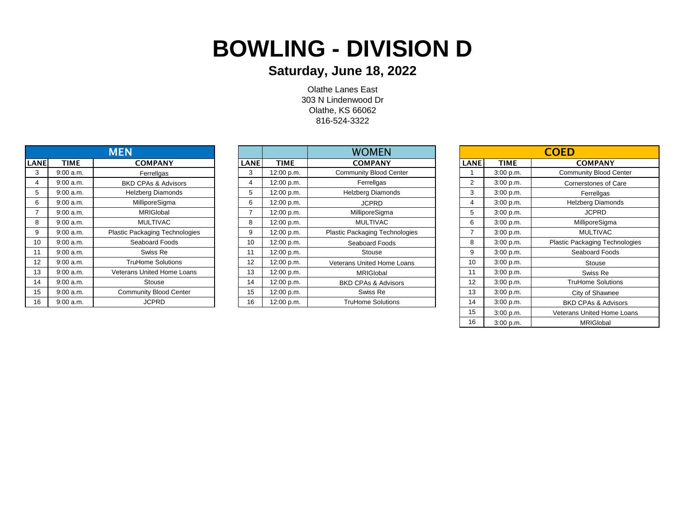# **BOWLING - DIVISION D**

### **Saturday, June 18, 2022**

Olathe Lanes East 303 N Lindenwood Dr Olathe, KS 66062 816-524-3322

|                |             | <b>MEN</b>                            |
|----------------|-------------|---------------------------------------|
| <b>LANE</b>    | <b>TIME</b> | <b>COMPANY</b>                        |
| 3              | 9:00 a.m.   | Ferrellgas                            |
| $\overline{4}$ | 9:00 a.m.   | <b>BKD CPAs &amp; Advisors</b>        |
| 5              | 9:00 a.m.   | <b>Helzberg Diamonds</b>              |
| 6              | 9:00 a.m.   | MilliporeSigma                        |
| $\overline{7}$ | 9:00 a.m.   | <b>MRIGIobal</b>                      |
| 8              | 9:00 a.m.   | <b>MULTIVAC</b>                       |
| 9              | 9:00 a.m.   | <b>Plastic Packaging Technologies</b> |
| 10             | 9:00 a.m.   | Seaboard Foods                        |
| 11             | 9:00 a.m.   | Swiss Re                              |
| 12             | $9:00$ a.m. | <b>TruHome Solutions</b>              |
| 13             | 9:00 a.m.   | Veterans United Home Loans            |
| 14             | 9:00 a.m.   | Stouse                                |
| 15             | 9:00 a.m.   | <b>Community Blood Center</b>         |
| 16             | 9:00 a.m.   | <b>JCPRD</b>                          |

|      |             | <b>MEN</b>                     |             |             | <b>WOMEN</b>                          |                |           | <b>COED</b>                           |
|------|-------------|--------------------------------|-------------|-------------|---------------------------------------|----------------|-----------|---------------------------------------|
| LANE | TIME        | <b>COMPANY</b>                 | <b>LANE</b> | <b>TIME</b> | <b>COMPANY</b>                        | <b>LANE</b>    | TIME      | <b>COMPANY</b>                        |
| 3    | $9:00$ a.m. | Ferrellgas                     | 3           | 12:00 p.m.  | <b>Community Blood Center</b>         |                | 3:00 p.m. | <b>Community Blood Center</b>         |
| 4    | 9:00 a.m.   | <b>BKD CPAs &amp; Advisors</b> | 4           | 12:00 p.m.  | Ferrellgas                            | $\overline{2}$ | 3:00 p.m. | Cornerstones of Care                  |
| 5    | 9:00 a.m.   | <b>Helzberg Diamonds</b>       | 5           | 12:00 p.m.  | <b>Helzberg Diamonds</b>              | 3              | 3:00 p.m. | Ferrellgas                            |
| 6    | $9:00$ a.m. | MilliporeSigma                 | 6           | 12:00 p.m.  | <b>JCPRD</b>                          | 4              | 3:00 p.m. | <b>Helzberg Diamonds</b>              |
|      | $9:00$ a.m. | <b>MRIGIobal</b>               |             | 12:00 p.m.  | MilliporeSigma                        | b              | 3:00 p.m. | <b>JCPRD</b>                          |
| 8    | 9:00 a.m.   | <b>MULTIVAC</b>                | 8           | 12:00 p.m.  | <b>MULTIVAC</b>                       | 6              | 3:00 p.m. | MilliporeSigma                        |
| 9    | $9:00$ a.m. | Plastic Packaging Technologies | 9           | 12:00 p.m.  | <b>Plastic Packaging Technologies</b> | ⇁              | 3:00 p.m. | <b>MULTIVAC</b>                       |
| 10   | 9:00 a.m.   | Seaboard Foods                 | 10          | 12:00 p.m.  | Seaboard Foods                        | 8              | 3:00 p.m. | <b>Plastic Packaging Technologies</b> |
| 11   | 9:00 a.m.   | Swiss Re                       |             | 12:00 p.m.  | Stouse                                | 9              | 3:00 p.m. | Seaboard Foods                        |
| 12   | $9:00$ a.m. | <b>TruHome Solutions</b>       | 12          | 12:00 p.m.  | <b>Veterans United Home Loans</b>     | 10             | 3:00 p.m. | Stouse                                |
| 13   | 9:00 a.m.   | Veterans United Home Loans     | 13          | 12:00 p.m.  | <b>MRIGIobal</b>                      | 11             | 3:00 p.m. | Swiss Re                              |
| 14   | 9:00 a.m.   | Stouse                         | 14          | 12:00 p.m.  | <b>BKD CPAs &amp; Advisors</b>        | 12             | 3:00 p.m. | <b>TruHome Solutions</b>              |
| 15   | $9:00$ a.m. | <b>Community Blood Center</b>  | 15          | 12:00 p.m.  | Swiss Re                              | 13             | 3:00 p.m. | City of Shawnee                       |
| 16   | $9:00$ a.m. | <b>JCPRD</b>                   | 16          | 12:00 p.m.  | <b>TruHome Solutions</b>              | 14             | 3:00 p.m. | <b>BKD CPAs &amp; Advisors</b>        |

| <b>COED</b>    |             |                                       |  |  |  |  |  |  |  |
|----------------|-------------|---------------------------------------|--|--|--|--|--|--|--|
| <b>LANE</b>    | <b>TIME</b> | <b>COMPANY</b>                        |  |  |  |  |  |  |  |
| 1              | 3:00 p.m.   | <b>Community Blood Center</b>         |  |  |  |  |  |  |  |
| $\overline{2}$ | 3:00 p.m.   | Cornerstones of Care                  |  |  |  |  |  |  |  |
| 3              | 3:00 p.m.   | Ferrellgas                            |  |  |  |  |  |  |  |
| 4              | 3:00 p.m.   | <b>Helzberg Diamonds</b>              |  |  |  |  |  |  |  |
| 5              | 3:00 p.m.   | <b>JCPRD</b>                          |  |  |  |  |  |  |  |
| 6              | 3:00 p.m.   | MilliporeSigma                        |  |  |  |  |  |  |  |
| 7              | 3:00 p.m.   | <b>MULTIVAC</b>                       |  |  |  |  |  |  |  |
| 8              | 3:00 p.m.   | <b>Plastic Packaging Technologies</b> |  |  |  |  |  |  |  |
| 9              | 3:00 p.m.   | Seaboard Foods                        |  |  |  |  |  |  |  |
| 10             | 3:00 p.m.   | Stouse                                |  |  |  |  |  |  |  |
| 11             | 3:00 p.m.   | Swiss Re                              |  |  |  |  |  |  |  |
| 12             | 3:00 p.m.   | <b>TruHome Solutions</b>              |  |  |  |  |  |  |  |
| 13             | 3:00 p.m.   | City of Shawnee                       |  |  |  |  |  |  |  |
| 14             | 3:00 p.m.   | <b>BKD CPAs &amp; Advisors</b>        |  |  |  |  |  |  |  |
| 15             | 3:00 p.m.   | <b>Veterans United Home Loans</b>     |  |  |  |  |  |  |  |
| 16             | 3:00 p.m.   | <b>MRIGIobal</b>                      |  |  |  |  |  |  |  |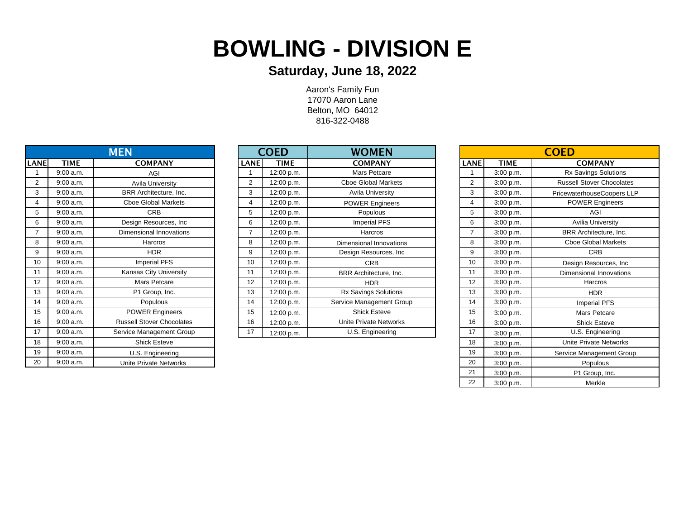# **BOWLING - DIVISION E**

### **Saturday, June 18, 2022**

Aaron's Family Fun 17070 Aaron Lane Belton, MO 64012 816-322-0488

| <b>MEN</b>  |             |                                  | <b>COED</b>    | <b>WOMEN</b> |                             |                | <b>COED</b> |                                  |
|-------------|-------------|----------------------------------|----------------|--------------|-----------------------------|----------------|-------------|----------------------------------|
| <b>LANE</b> | <b>TIME</b> | <b>COMPANY</b>                   | <b>LANE</b>    | <b>TIME</b>  | <b>COMPANY</b>              | <b>LANE</b>    | <b>TIME</b> | <b>COMPANY</b>                   |
|             | $9:00$ a.m. | AGI                              |                | 12:00 p.m.   | Mars Petcare                |                | 3:00 p.m.   | <b>Rx Savings Solutions</b>      |
| 2           | $9:00$ a.m. | Avila University                 | $\overline{2}$ | 12:00 p.m.   | <b>Cboe Global Markets</b>  | $\overline{2}$ | 3:00 p.m.   | <b>Russell Stover Chocolates</b> |
| 3           | 9:00 a.m.   | BRR Architecture, Inc.           | 3              | 12:00 p.m.   | Avila University            | 3              | 3:00 p.m.   | PricewaterhouseCoopers LLF       |
|             | 9:00 a.m.   | <b>Cboe Global Markets</b>       | 4              | 12:00 p.m.   | <b>POWER Engineers</b>      | 4              | 3:00 p.m.   | <b>POWER Engineers</b>           |
| 5           | $9:00$ a.m. | <b>CRB</b>                       | 5              | 12:00 p.m.   | Populous                    | 5              | 3:00 p.m.   | AGI                              |
| 6           | $9:00$ a.m. | Design Resources, Inc            | 6              | 12:00 p.m.   | <b>Imperial PFS</b>         | 6              | 3:00 p.m.   | Avilia University                |
|             | $9:00$ a.m. | Dimensional Innovations          |                | 12:00 p.m.   | Harcros                     |                | 3:00 p.m.   | BRR Architecture, Inc.           |
| 8           | $9:00$ a.m. | Harcros                          | 8              | 12:00 p.m.   | Dimensional Innovations     | 8              | 3:00 p.m.   | <b>Cboe Global Markets</b>       |
| 9           | 9:00 a.m.   | <b>HDR</b>                       | 9              | 12:00 p.m.   | Design Resources, Inc       | 9              | 3:00 p.m.   | <b>CRB</b>                       |
| 10          | 9:00 a.m.   | <b>Imperial PFS</b>              | 10             | 12:00 p.m.   | <b>CRB</b>                  | 10             | 3:00 p.m.   | Design Resources, Inc.           |
| 11          | 9:00 a.m.   | Kansas City University           | 11             | 12:00 p.m.   | BRR Architecture, Inc.      | 11             | 3:00 p.m.   | Dimensional Innovations          |
| 12          | 9:00 a.m.   | Mars Petcare                     | 12             | 12:00 p.m.   | <b>HDR</b>                  | 12             | 3:00 p.m.   | Harcros                          |
| 13          | 9:00 a.m.   | P1 Group, Inc.                   | 13             | 12:00 p.m.   | <b>Rx Savings Solutions</b> | 13             | 3:00 p.m.   | <b>HDR</b>                       |
| 14          | 9:00 a.m.   | Populous                         | 14             | 12:00 p.m.   | Service Management Group    | 14             | 3:00 p.m.   | <b>Imperial PFS</b>              |
| 15          | 9:00 a.m.   | <b>POWER Engineers</b>           | 15             | 12:00 p.m.   | <b>Shick Esteve</b>         | 15             | 3:00 p.m.   | Mars Petcare                     |
| 16          | 9:00 a.m.   | <b>Russell Stover Chocolates</b> | 16             | 12:00 p.m.   | Unite Private Networks      | 16             | 3:00 p.m.   | <b>Shick Esteve</b>              |
| 17          | $9:00$ a.m. | Service Management Group         | 17             | 12:00 p.m.   | U.S. Engineering            | 17             | 3:00 p.m.   | U.S. Engineering                 |
| 18          | $9:00$ a.m. | <b>Shick Esteve</b>              |                |              |                             | 18             | 3:00 p.m.   | Unite Private Networks           |
| 19          | 9:00 a.m.   | U.S. Engineering                 |                |              |                             | 19             | 3:00 p.m.   | Service Management Group         |
| 20          | $9:00$ a.m. | Unite Private Networks           |                |              |                             | 20             | 3:00 p.m.   | Populous                         |

| <b>MEN</b>  |             |                                  |             | <b>COED</b> | <b>WOMEN</b>                |             | <b>COED</b> |                                  |  |  |
|-------------|-------------|----------------------------------|-------------|-------------|-----------------------------|-------------|-------------|----------------------------------|--|--|
| <b>LANE</b> | <b>TIME</b> | <b>COMPANY</b>                   | <b>LANE</b> | <b>TIME</b> | <b>COMPANY</b>              | <b>LANE</b> | <b>TIME</b> | <b>COMPANY</b>                   |  |  |
|             | $9:00$ a.m. | AGI                              |             | 12:00 p.m.  | Mars Petcare                |             | 3:00 p.m.   | Rx Savings Solutions             |  |  |
| 2           | $9:00$ a.m. | <b>Avila University</b>          | 2           | 12:00 p.m.  | <b>Choe Global Markets</b>  | 2           | 3:00 p.m.   | <b>Russell Stover Chocolates</b> |  |  |
| 3           | $9:00$ a.m. | BRR Architecture, Inc.           | 3           | 12:00 p.m.  | <b>Avila University</b>     | 3           | 3:00 p.m.   | PricewaterhouseCoopers LLP       |  |  |
| 4           | $9:00$ a.m. | <b>Cboe Global Markets</b>       | 4           | 12:00 p.m.  | <b>POWER Engineers</b>      | 4           | 3:00 p.m.   | <b>POWER Engineers</b>           |  |  |
| 5           | 9:00 a.m.   | <b>CRB</b>                       | 5           | 12:00 p.m.  | Populous                    | 5           | 3:00 p.m.   | AGI                              |  |  |
| 6           | 9:00 a.m.   | Design Resources, Inc.           | 6           | 12:00 p.m.  | <b>Imperial PFS</b>         | 6           | 3:00 p.m.   | Avilia University                |  |  |
|             | 9:00 a.m.   | Dimensional Innovations          |             | 12:00 p.m.  | Harcros                     |             | 3:00 p.m.   | BRR Architecture, Inc.           |  |  |
| 8           | 9:00 a.m.   | Harcros                          | 8           | 12:00 p.m.  | Dimensional Innovations     | 8           | 3:00 p.m.   | <b>Choe Global Markets</b>       |  |  |
| 9           | $9:00$ a.m. | <b>HDR</b>                       | 9           | 12:00 p.m.  | Design Resources, Inc.      | 9           | 3:00 p.m.   | <b>CRB</b>                       |  |  |
| 10          | $9:00$ a.m. | <b>Imperial PFS</b>              | 10          | 12:00 p.m.  | <b>CRB</b>                  | 10          | 3:00 p.m.   | Design Resources, Inc            |  |  |
| 11          | $9:00$ a.m. | Kansas City University           | 11          | 12:00 p.m.  | BRR Architecture, Inc.      | 11          | 3:00 p.m.   | Dimensional Innovations          |  |  |
| 12          | $9:00$ a.m. | Mars Petcare                     | 12          | 12:00 p.m.  | <b>HDR</b>                  | 12          | 3:00 p.m.   | Harcros                          |  |  |
| 13          | $9:00$ a.m. | P1 Group, Inc.                   | 13          | 12:00 p.m.  | <b>Rx Savings Solutions</b> | 13          | 3:00 p.m.   | <b>HDR</b>                       |  |  |
| 14          | 9:00 a.m.   | Populous                         | 14          | 12:00 p.m.  | Service Management Group    | 14          | 3:00 p.m.   | <b>Imperial PFS</b>              |  |  |
| 15          | $9:00$ a.m. | <b>POWER Engineers</b>           | 15          | 12:00 p.m.  | <b>Shick Esteve</b>         | 15          | 3:00 p.m.   | Mars Petcare                     |  |  |
| 16          | $9:00$ a.m. | <b>Russell Stover Chocolates</b> | 16          | 12:00 p.m.  | Unite Private Networks      | 16          | 3:00 p.m.   | <b>Shick Esteve</b>              |  |  |
| 17          | $9:00$ a.m. | Service Management Group         | 17          | 12:00 p.m.  | U.S. Engineering            | 17          | 3:00 p.m.   | U.S. Engineering                 |  |  |

|                |             | <b>COED</b>                      |
|----------------|-------------|----------------------------------|
| <b>LANE</b>    | <b>TIME</b> | <b>COMPANY</b>                   |
| 1              | 3:00 p.m.   | <b>Rx Savings Solutions</b>      |
| $\overline{2}$ | 3:00 p.m.   | <b>Russell Stover Chocolates</b> |
| 3              | 3:00 p.m.   | PricewaterhouseCoopers LLP       |
| $\overline{4}$ | 3:00 p.m.   | <b>POWER Engineers</b>           |
| 5              | 3:00 p.m.   | AGI                              |
| 6              | 3:00 p.m.   | <b>Avilia University</b>         |
| 7              | 3:00 p.m.   | BRR Architecture, Inc.           |
| 8              | 3:00 p.m.   | <b>Choe Global Markets</b>       |
| 9              | 3:00 p.m.   | <b>CRB</b>                       |
| 10             | 3:00 p.m.   | Design Resources, Inc.           |
| 11             | 3:00 p.m.   | Dimensional Innovations          |
| 12             | 3:00 p.m.   | Harcros                          |
| 13             | 3:00 p.m.   | <b>HDR</b>                       |
| 14             | 3:00 p.m.   | <b>Imperial PFS</b>              |
| 15             | 3:00 p.m.   | Mars Petcare                     |
| 16             | 3:00 p.m.   | <b>Shick Esteve</b>              |
| 17             | 3:00 p.m.   | U.S. Engineering                 |
| 18             | 3:00 p.m.   | <b>Unite Private Networks</b>    |
| 19             | 3:00 p.m.   | Service Management Group         |
| 20             | 3:00 p.m.   | Populous                         |
| 21             | 3:00 p.m.   | P1 Group, Inc.                   |
| 22             | 3:00 p.m.   | Merkle                           |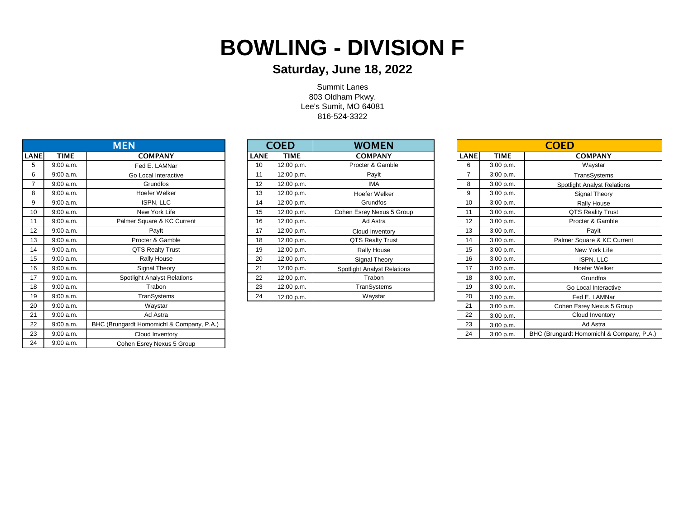## **BOWLING - DIVISION F**

### **Saturday, June 18, 2022**

Summit Lanes 803 Oldham Pkwy. Lee's Sumit, MO 64081 816-524-3322

| <b>MEN</b>  |             |                                           |             | <b>COED</b> | <b>WOMEN</b>                       |             |             | <b>COED</b>                               |
|-------------|-------------|-------------------------------------------|-------------|-------------|------------------------------------|-------------|-------------|-------------------------------------------|
| <b>LANE</b> | <b>TIME</b> | <b>COMPANY</b>                            | <b>LANE</b> | <b>TIME</b> | <b>COMPANY</b>                     | <b>LANE</b> | <b>TIME</b> | <b>COMPANY</b>                            |
| 5           | 9:00 a.m.   | Fed E. LAMNar                             | 10          | 12:00 p.m.  | Procter & Gamble                   | 6           | 3:00 p.m.   | Waystar                                   |
| 6           | 9:00 a.m.   | Go Local Interactive                      | 11          | 12:00 p.m.  | Paylt                              |             | 3:00 p.m.   | TransSystems                              |
|             | 9:00 a.m.   | Grundfos                                  | 12          | 12:00 p.m.  | <b>IMA</b>                         | 8           | 3:00 p.m.   | <b>Spotlight Analyst Relations</b>        |
| 8           | 9:00 a.m.   | Hoefer Welker                             | 13          | 12:00 p.m.  | Hoefer Welker                      | 9           | 3:00 p.m.   | Signal Theory                             |
| 9           | 9:00 a.m.   | ISPN, LLC                                 | 14          | 12:00 p.m.  | Grundfos                           | 10          | 3:00 p.m.   | Rally House                               |
| 10          | 9:00 a.m.   | New York Life                             | 15          | 12:00 p.m.  | Cohen Esrey Nexus 5 Group          | 11          | 3:00 p.m.   | <b>QTS Reality Trust</b>                  |
| 11          | 9:00 a.m.   | Palmer Square & KC Current                | 16          | 12:00 p.m.  | Ad Astra                           | 12          | 3:00 p.m.   | Procter & Gamble                          |
| 12          | 9:00 a.m.   | Paylt                                     | 17          | 12:00 p.m.  | Cloud Inventory                    | 13          | 3:00 p.m.   | Paylt                                     |
| 13          | 9:00 a.m.   | Procter & Gamble                          | 18          | 12:00 p.m.  | QTS Realty Trust                   | 14          | 3:00 p.m.   | Palmer Square & KC Current                |
| 14          | 9:00 a.m.   | <b>QTS Realty Trust</b>                   | 19          | 12:00 p.m.  | Rally House                        | 15          | 3:00 p.m.   | New York Life                             |
| 15          | 9:00 a.m.   | Rally House                               | 20          | 12:00 p.m.  | Signal Theory                      | 16          | 3:00 p.m.   | ISPN, LLC                                 |
| 16          | 9:00 a.m.   | Signal Theory                             | 21          | 12:00 p.m.  | <b>Spotlight Analyst Relations</b> | 17          | 3:00 p.m.   | Hoefer Welker                             |
| 17          | 9:00 a.m.   | <b>Spotlight Analyst Relations</b>        | 22          | 12:00 p.m.  | Trabon                             | 18          | 3:00 p.m.   | Grundfos                                  |
| 18          | 9:00 a.m.   | Trabon                                    | 23          | 12:00 p.m.  | TranSystems                        | 19          | 3:00 p.m.   | Go Local Interactive                      |
| 19          | 9:00 a.m.   | TranSystems                               | 24          | 12:00 p.m.  | Waystar                            | 20          | 3:00 p.m.   | Fed E. LAMNar                             |
| 20          | 9:00 a.m.   | Waystar                                   |             |             |                                    | 21          | 3:00 p.m.   | Cohen Esrey Nexus 5 Group                 |
| 21          | 9:00 a.m.   | Ad Astra                                  |             |             |                                    | 22          | 3:00 p.m.   | Cloud Inventory                           |
| 22          | 9:00 a.m.   | BHC (Brungardt Homomichl & Company, P.A.) |             |             |                                    | 23          | 3:00 p.m.   | Ad Astra                                  |
| 23          | 9:00 a.m.   | Cloud Inventory                           |             |             |                                    | 24          | 3:00 p.m.   | BHC (Brungardt Homomichl & Company, P.A.) |
| 24          | 9:00 a.m.   | Cohen Esrey Nexus 5 Group                 |             |             |                                    |             |             |                                           |

| <b>MEN</b> |             |                                    | <b>COED</b> |             |            | <b>WOMEN</b>                       |             |             | <b>COED</b>                        |
|------------|-------------|------------------------------------|-------------|-------------|------------|------------------------------------|-------------|-------------|------------------------------------|
| <b>NE</b>  | <b>TIME</b> | <b>COMPANY</b>                     |             | <b>LANE</b> | TIME       | <b>COMPANY</b>                     | <b>LANE</b> | <b>TIME</b> | <b>COMPANY</b>                     |
|            | 9:00 a.m.   | Fed E. LAMNar                      |             | 10          | 12:00 p.m. | Procter & Gamble                   | 6           | 3:00 p.m.   | Waystar                            |
|            | 9:00 a.m.   | Go Local Interactive               |             | 11          | 12:00 p.m. | Paylt                              |             | 3:00 p.m.   | TransSystems                       |
|            | 9:00 a.m.   | Grundfos                           |             | 12          | 12:00 p.m. | <b>IMA</b>                         | 8           | 3:00 p.m.   | <b>Spotlight Analyst Relations</b> |
|            | 9:00 a.m.   | Hoefer Welker                      |             | 13          | 12:00 p.m. | Hoefer Welker                      | 9           | 3:00 p.m.   | Signal Theory                      |
|            | 9:00 a.m.   | ISPN, LLC                          |             | 14          | 12:00 p.m. | Grundfos                           | 10          | 3:00 p.m.   | <b>Rally House</b>                 |
|            | 9:00 a.m.   | New York Life                      |             | 15          | 12:00 p.m. | Cohen Esrey Nexus 5 Group          | 11          | 3:00 p.m.   | <b>QTS Reality Trust</b>           |
|            | 9:00 a.m.   | Palmer Square & KC Current         |             | 16          | 12:00 p.m. | Ad Astra                           | 12          | 3:00 p.m.   | Procter & Gamble                   |
|            | 9:00 a.m.   | Paylt                              |             | 17          | 12:00 p.m. | Cloud Inventory                    | 13          | 3:00 p.m.   | Paylt                              |
| 13         | 9:00 a.m.   | Procter & Gamble                   |             | 18          | 12:00 p.m. | <b>QTS Realty Trust</b>            | 14          | 3:00 p.m.   | Palmer Square & KC Currer          |
|            | 9:00 a.m.   | <b>QTS Realty Trust</b>            |             | 19          | 12:00 p.m. | Rally House                        | 15          | 3:00 p.m.   | New York Life                      |
|            | 9:00 a.m.   | Rally House                        |             | 20          | 12:00 p.m. | Signal Theory                      | 16          | 3:00 p.m.   | ISPN, LLC                          |
|            | 9:00 a.m.   | Signal Theory                      |             | 21          | 12:00 p.m. | <b>Spotlight Analyst Relations</b> | 17          | 3:00 p.m.   | Hoefer Welker                      |
|            | 9:00 a.m.   | <b>Spotlight Analyst Relations</b> |             | 22          | 12:00 p.m. | Trabon                             | 18          | 3:00 p.m.   | Grundfos                           |
|            | 9:00 a.m.   | Trabon                             |             | 23          | 12:00 p.m. | TranSystems                        | 19          | 3:00 p.m.   | Go Local Interactive               |
|            | 9:00 a.m.   | TranSystems                        |             | 24          | 12:00 p.m. | Waystar                            | 20          | 3:00 p.m.   | Fed E. LAMNar                      |

| <b>COED</b> |                                                        |                                    |  |  |  |  |  |  |
|-------------|--------------------------------------------------------|------------------------------------|--|--|--|--|--|--|
| <b>LANE</b> | <b>TIME</b>                                            | <b>COMPANY</b>                     |  |  |  |  |  |  |
| 6           | 3:00 p.m.                                              | Waystar                            |  |  |  |  |  |  |
| 7           | 3:00 p.m.                                              | TransSystems                       |  |  |  |  |  |  |
| 8           | 3:00 p.m.                                              | <b>Spotlight Analyst Relations</b> |  |  |  |  |  |  |
| 9           | 3:00 p.m.                                              | Signal Theory                      |  |  |  |  |  |  |
| 10          | 3:00 p.m.                                              | <b>Rally House</b>                 |  |  |  |  |  |  |
| 11          | 3:00 p.m.                                              | <b>QTS Reality Trust</b>           |  |  |  |  |  |  |
| 12          | 3:00 p.m.                                              | Procter & Gamble                   |  |  |  |  |  |  |
| 13          | 3:00 p.m.                                              | Paylt                              |  |  |  |  |  |  |
| 14          | 3:00 p.m.                                              | Palmer Square & KC Current         |  |  |  |  |  |  |
| 15          | 3:00 p.m.                                              | New York Life                      |  |  |  |  |  |  |
| 16          | 3:00 p.m.                                              | ISPN, LLC                          |  |  |  |  |  |  |
| 17          | 3:00 p.m.                                              | Hoefer Welker                      |  |  |  |  |  |  |
| 18          | 3:00 p.m.                                              | Grundfos                           |  |  |  |  |  |  |
| 19          | 3:00 p.m.                                              | Go Local Interactive               |  |  |  |  |  |  |
| 20          | 3:00 p.m.                                              | Fed E. LAMNar                      |  |  |  |  |  |  |
| 21          | 3:00 p.m.                                              | Cohen Esrey Nexus 5 Group          |  |  |  |  |  |  |
| 22          | 3:00 p.m.                                              | Cloud Inventory                    |  |  |  |  |  |  |
| 23          | 3:00 p.m.                                              | Ad Astra                           |  |  |  |  |  |  |
| 24          | BHC (Brungardt Homomichl & Company, P.A.)<br>3:00 p.m. |                                    |  |  |  |  |  |  |